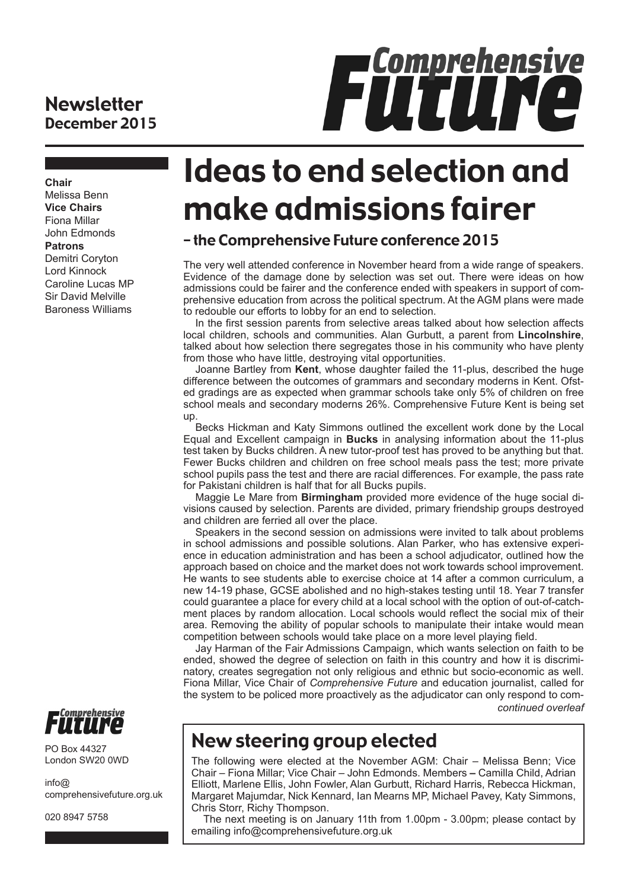### **Newsletter** December 2015



**Chair** Melissa Benn **Vice Chairs** Fiona Millar John Edmonds **Patrons** Demitri Coryton Lord Kinnock Caroline Lucas MP Sir David Melville Baroness Williams

# Ideas to end selection and make admissions fairer

### – the Comprehensive Future conference 2015

The very well attended conference in November heard from a wide range of speakers. Evidence of the damage done by selection was set out. There were ideas on how admissions could be fairer and the conference ended with speakers in support of comprehensive education from across the political spectrum. At the AGM plans were made to redouble our efforts to lobby for an end to selection.

In the first session parents from selective areas talked about how selection affects local children, schools and communities. Alan Gurbutt, a parent from **Lincolnshire**, talked about how selection there segregates those in his community who have plenty from those who have little, destroying vital opportunities.

Joanne Bartley from **Kent**, whose daughter failed the 11-plus, described the huge difference between the outcomes of grammars and secondary moderns in Kent. Ofsted gradings are as expected when grammar schools take only 5% of children on free school meals and secondary moderns 26%. Comprehensive Future Kent is being set up.

Becks Hickman and Katy Simmons outlined the excellent work done by the Local Equal and Excellent campaign in **Bucks** in analysing information about the 11-plus test taken by Bucks children. A new tutor-proof test has proved to be anything but that. Fewer Bucks children and children on free school meals pass the test; more private school pupils pass the test and there are racial differences. For example, the pass rate for Pakistani children is half that for all Bucks pupils.

Maggie Le Mare from **Birmingham** provided more evidence of the huge social divisions caused by selection. Parents are divided, primary friendship groups destroyed and children are ferried all over the place.

Speakers in the second session on admissions were invited to talk about problems in school admissions and possible solutions. Alan Parker, who has extensive experience in education administration and has been a school adjudicator, outlined how the approach based on choice and the market does not work towards school improvement. He wants to see students able to exercise choice at 14 after a common curriculum, a new 14-19 phase, GCSE abolished and no high-stakes testing until 18. Year 7 transfer could guarantee a place for every child at a local school with the option of out-of-catchment places by random allocation. Local schools would reflect the social mix of their area. Removing the ability of popular schools to manipulate their intake would mean competition between schools would take place on a more level playing field.

Jay Harman of the Fair Admissions Campaign, which wants selection on faith to be ended, showed the degree of selection on faith in this country and how it is discriminatory, creates segregation not only religious and ethnic but socio-economic as well. Fiona Millar, Vice Chair of *Comprehensive Future* and education journalist, called for the system to be policed more proactively as the adjudicator can only respond to com*continued overleaf*

## New steering group elected

The following were elected at the November AGM: Chair – Melissa Benn; Vice Chair – Fiona Millar; Vice Chair – John Edmonds. Members **–** Camilla Child, Adrian Elliott, Marlene Ellis, John Fowler, Alan Gurbutt, Richard Harris, Rebecca Hickman, Margaret Majumdar, Nick Kennard, Ian Mearns MP, Michael Pavey, Katy Simmons, Chris Storr, Richy Thompson.

The next meeting is on January 11th from 1.00pm - 3.00pm; please contact by emailing info@comprehensivefuture.org.uk



PO Box 44327 London SW20 0WD

 $info@$ comprehensivefuture.org.uk

020 8947 5758